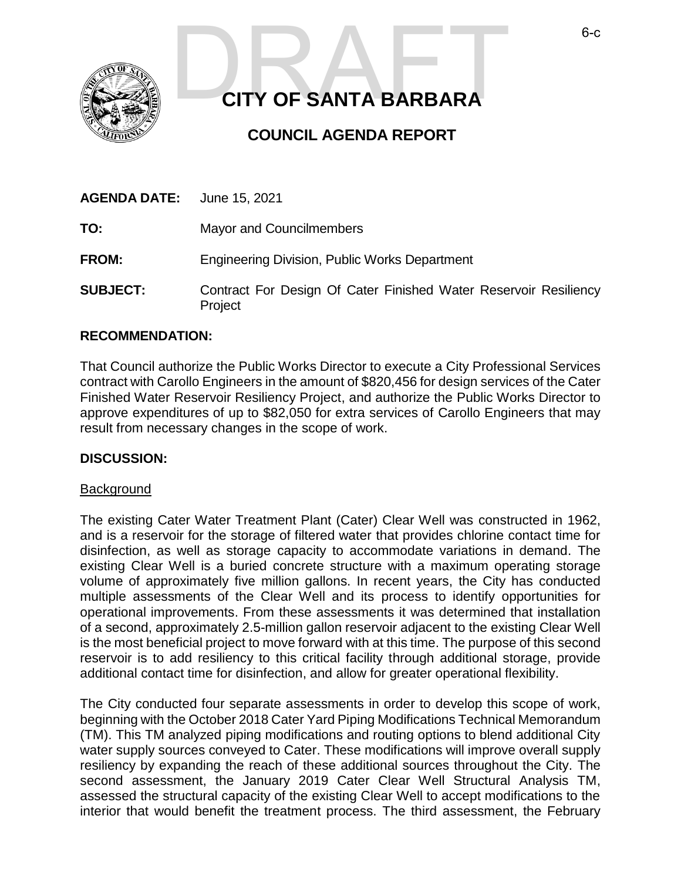

# **CITY OF SANTA BARBARA CITY OF SANTA BARBARA**

# **COUNCIL AGENDA REPORT**

| <b>AGENDA DATE:</b> June 15, 2021 |                                                                             |
|-----------------------------------|-----------------------------------------------------------------------------|
| TO:                               | <b>Mayor and Councilmembers</b>                                             |
| <b>FROM:</b>                      | <b>Engineering Division, Public Works Department</b>                        |
| <b>SUBJECT:</b>                   | Contract For Design Of Cater Finished Water Reservoir Resiliency<br>Project |

#### **RECOMMENDATION:**

That Council authorize the Public Works Director to execute a City Professional Services contract with Carollo Engineers in the amount of \$820,456 for design services of the Cater Finished Water Reservoir Resiliency Project, and authorize the Public Works Director to approve expenditures of up to \$82,050 for extra services of Carollo Engineers that may result from necessary changes in the scope of work.

#### **DISCUSSION:**

#### Background

The existing Cater Water Treatment Plant (Cater) Clear Well was constructed in 1962, and is a reservoir for the storage of filtered water that provides chlorine contact time for disinfection, as well as storage capacity to accommodate variations in demand. The existing Clear Well is a buried concrete structure with a maximum operating storage volume of approximately five million gallons. In recent years, the City has conducted multiple assessments of the Clear Well and its process to identify opportunities for operational improvements. From these assessments it was determined that installation of a second, approximately 2.5-million gallon reservoir adjacent to the existing Clear Well is the most beneficial project to move forward with at this time. The purpose of this second reservoir is to add resiliency to this critical facility through additional storage, provide additional contact time for disinfection, and allow for greater operational flexibility.

The City conducted four separate assessments in order to develop this scope of work, beginning with the October 2018 Cater Yard Piping Modifications Technical Memorandum (TM). This TM analyzed piping modifications and routing options to blend additional City water supply sources conveyed to Cater. These modifications will improve overall supply resiliency by expanding the reach of these additional sources throughout the City. The second assessment, the January 2019 Cater Clear Well Structural Analysis TM, assessed the structural capacity of the existing Clear Well to accept modifications to the interior that would benefit the treatment process. The third assessment, the February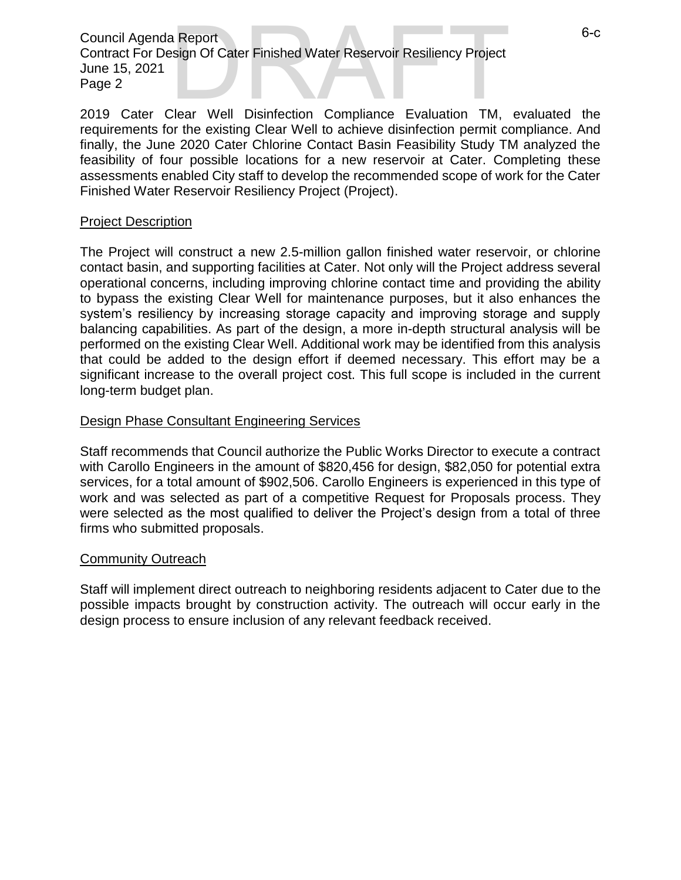Council Agenda Report Contract For Design Of Cater Finished Water Reservoir Resiliency Project June 15, 2021 Page 2 2019 Cater Clear Well Disinfection Compliance Evaluation TM, evaluated the<br>
2019 Cater Clear Well Disinfection Compliance Evaluation TM, evaluated the

requirements for the existing Clear Well to achieve disinfection permit compliance. And finally, the June 2020 Cater Chlorine Contact Basin Feasibility Study TM analyzed the feasibility of four possible locations for a new reservoir at Cater. Completing these assessments enabled City staff to develop the recommended scope of work for the Cater Finished Water Reservoir Resiliency Project (Project).

#### Project Description

The Project will construct a new 2.5-million gallon finished water reservoir, or chlorine contact basin, and supporting facilities at Cater. Not only will the Project address several operational concerns, including improving chlorine contact time and providing the ability to bypass the existing Clear Well for maintenance purposes, but it also enhances the system's resiliency by increasing storage capacity and improving storage and supply balancing capabilities. As part of the design, a more in-depth structural analysis will be performed on the existing Clear Well. Additional work may be identified from this analysis that could be added to the design effort if deemed necessary. This effort may be a significant increase to the overall project cost. This full scope is included in the current long-term budget plan.

#### Design Phase Consultant Engineering Services

Staff recommends that Council authorize the Public Works Director to execute a contract with Carollo Engineers in the amount of \$820,456 for design, \$82,050 for potential extra services, for a total amount of \$902,506. Carollo Engineers is experienced in this type of work and was selected as part of a competitive Request for Proposals process. They were selected as the most qualified to deliver the Project's design from a total of three firms who submitted proposals.

#### Community Outreach

Staff will implement direct outreach to neighboring residents adjacent to Cater due to the possible impacts brought by construction activity. The outreach will occur early in the design process to ensure inclusion of any relevant feedback received.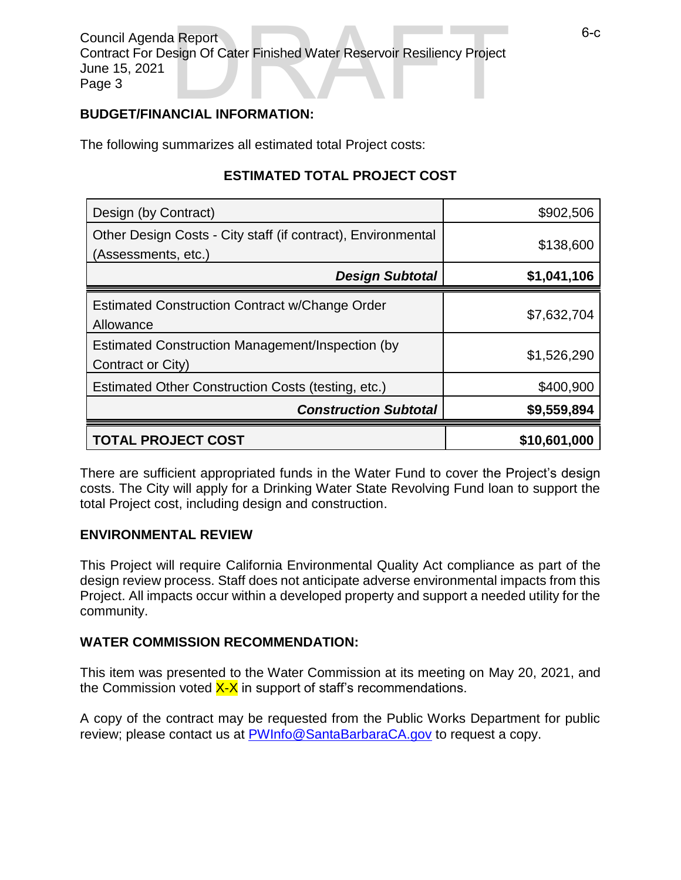Council Agenda Report Contract For Design Of Cater Finished Water Reservoir Resiliency Project June 15, 2021 Page 3 Report<br>
Sign Of Cater Finished Water Reservoir Resiliency Project<br>
NCIAL INFORMATION:

#### **BUDGET/FINANCIAL INFORMATION:**

The following summarizes all estimated total Project costs:

## **ESTIMATED TOTAL PROJECT COST**

| Design (by Contract)                                                                | \$902,506    |
|-------------------------------------------------------------------------------------|--------------|
| Other Design Costs - City staff (if contract), Environmental<br>(Assessments, etc.) | \$138,600    |
| <b>Design Subtotal</b>                                                              | \$1,041,106  |
| <b>Estimated Construction Contract w/Change Order</b><br>Allowance                  | \$7,632,704  |
| Estimated Construction Management/Inspection (by<br>Contract or City)               | \$1,526,290  |
| Estimated Other Construction Costs (testing, etc.)                                  | \$400,900    |
| <b>Construction Subtotal</b>                                                        | \$9,559,894  |
| <b>TOTAL PROJECT COST</b>                                                           | \$10,601,000 |

There are sufficient appropriated funds in the Water Fund to cover the Project's design costs. The City will apply for a Drinking Water State Revolving Fund loan to support the total Project cost, including design and construction.

#### **ENVIRONMENTAL REVIEW**

This Project will require California Environmental Quality Act compliance as part of the design review process. Staff does not anticipate adverse environmental impacts from this Project. All impacts occur within a developed property and support a needed utility for the community.

### **WATER COMMISSION RECOMMENDATION:**

This item was presented to the Water Commission at its meeting on May 20, 2021, and the Commission voted  $X-X$  in support of staff's recommendations.

A copy of the contract may be requested from the Public Works Department for public review; please contact us at [PWInfo@SantaBarbaraCA.gov](mailto:PWInfo@SantaBarbaraCA.gov) to request a copy.